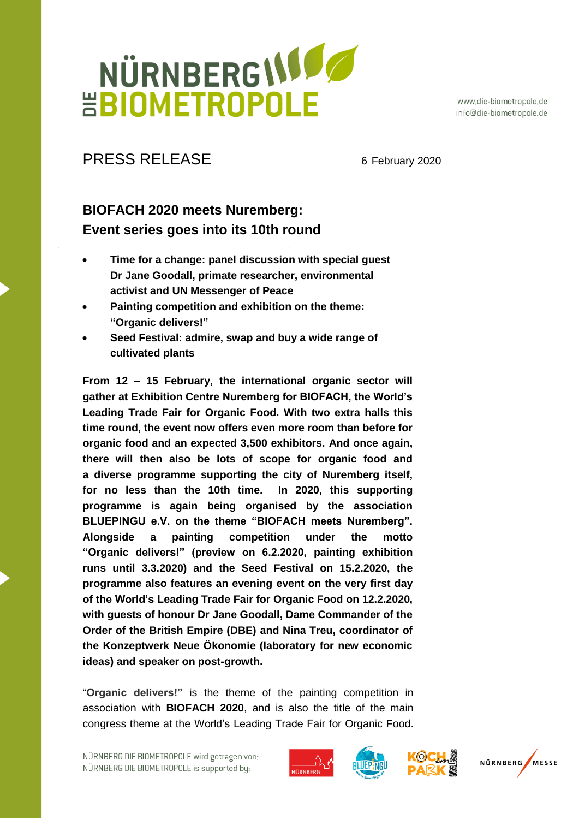## NÜRNBERGIJIO **HBIOMETROPOLE**

www.die-biometropole.de info@die-biometropole.de

### PRESS RELEASE 6 February 2020

### **BIOFACH 2020 meets Nuremberg: Event series goes into its 10th round**

- **Time for a change: panel discussion with special guest Dr Jane Goodall, primate researcher, environmental activist and UN Messenger of Peace**
- **Painting competition and exhibition on the theme: "Organic delivers!"**
- **Seed Festival: admire, swap and buy a wide range of cultivated plants**

**From 12 – 15 February, the international organic sector will gather at Exhibition Centre Nuremberg for BIOFACH, the World's Leading Trade Fair for Organic Food. With two extra halls this time round, the event now offers even more room than before for organic food and an expected 3,500 exhibitors. And once again, there will then also be lots of scope for organic food and a diverse programme supporting the city of Nuremberg itself, for no less than the 10th time. In 2020, this supporting programme is again being organised by the association BLUEPINGU e.V. on the theme "BIOFACH meets Nuremberg". Alongside a painting competition under the motto "Organic delivers!" (preview on 6.2.2020, painting exhibition runs until 3.3.2020) and the Seed Festival on 15.2.2020, the programme also features an evening event on the very first day of the World's Leading Trade Fair for Organic Food on 12.2.2020, with guests of honour Dr Jane Goodall, Dame Commander of the Order of the British Empire (DBE) and Nina Treu, coordinator of the Konzeptwerk Neue Ökonomie (laboratory for new economic ideas) and speaker on post-growth.** 

"**Organic delivers!"** is the theme of the painting competition in association with **BIOFACH 2020**, and is also the title of the main congress theme at the World's Leading Trade Fair for Organic Food.







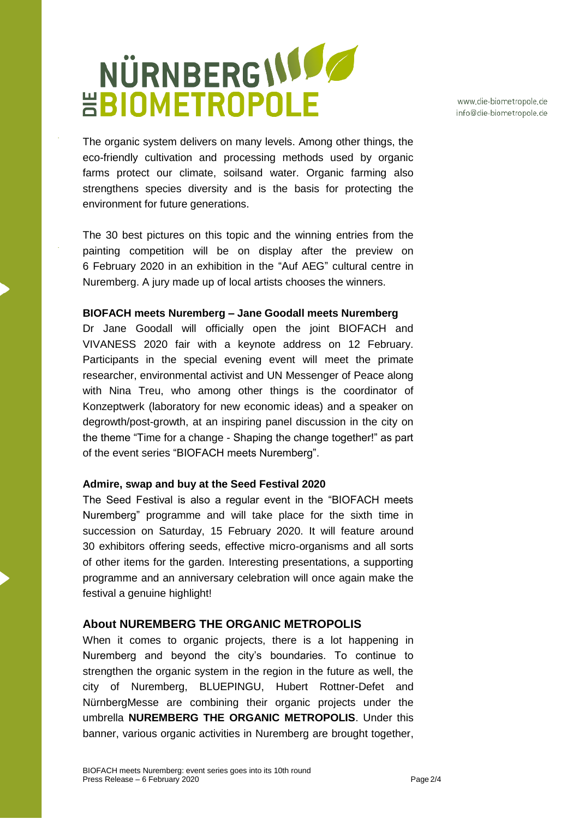## NÜRNBERGIJI **HBIOMETROPOLE**

www.die-biometropole.de info@die-biometropole.de

The organic system delivers on many levels. Among other things, the eco-friendly cultivation and processing methods used by organic farms protect our climate, soilsand water. Organic farming also strengthens species diversity and is the basis for protecting the environment for future generations.

The 30 best pictures on this topic and the winning entries from the painting competition will be on display after the preview on 6 February 2020 in an exhibition in the "Auf AEG" cultural centre in Nuremberg. A jury made up of local artists chooses the winners.

#### **BIOFACH meets Nuremberg – Jane Goodall meets Nuremberg**

Dr Jane Goodall will officially open the joint BIOFACH and VIVANESS 2020 fair with a keynote address on 12 February. Participants in the special evening event will meet the primate researcher, environmental activist and UN Messenger of Peace along with Nina Treu, who among other things is the coordinator of Konzeptwerk (laboratory for new economic ideas) and a speaker on degrowth/post-growth, at an inspiring panel discussion in the city on the theme "Time for a change - Shaping the change together!" as part of the event series "BIOFACH meets Nuremberg".

#### **Admire, swap and buy at the Seed Festival 2020**

The Seed Festival is also a regular event in the "BIOFACH meets Nuremberg" programme and will take place for the sixth time in succession on Saturday, 15 February 2020. It will feature around 30 exhibitors offering seeds, effective micro-organisms and all sorts of other items for the garden. Interesting presentations, a supporting programme and an anniversary celebration will once again make the festival a genuine highlight!

#### **About NUREMBERG THE ORGANIC METROPOLIS**

When it comes to organic projects, there is a lot happening in Nuremberg and beyond the city's boundaries. To continue to strengthen the organic system in the region in the future as well, the city of Nuremberg, BLUEPINGU, Hubert Rottner-Defet and NürnbergMesse are combining their organic projects under the umbrella **NUREMBERG THE ORGANIC METROPOLIS**. Under this banner, various organic activities in Nuremberg are brought together,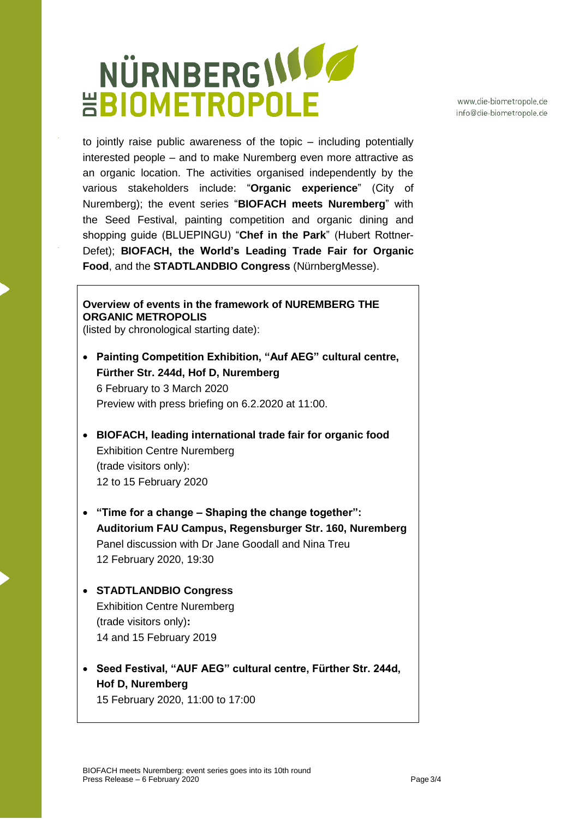### NÜRNBERGISSE **HBIOMETROPOLE**

www.die-biometropole.de info@die-biometropole.de

to jointly raise public awareness of the topic – including potentially interested people – and to make Nuremberg even more attractive as an organic location. The activities organised independently by the various stakeholders include: "**Organic experience**" (City of Nuremberg); the event series "**BIOFACH meets Nuremberg**" with the Seed Festival, painting competition and organic dining and shopping guide (BLUEPINGU) "**Chef in the Park**" (Hubert Rottner-Defet); **BIOFACH, the World's Leading Trade Fair for Organic Food**, and the **STADTLANDBIO Congress** (NürnbergMesse).

#### **Overview of events in the framework of NUREMBERG THE ORGANIC METROPOLIS**

(listed by chronological starting date):

- **Painting Competition Exhibition, "Auf AEG" cultural centre, Fürther Str. 244d, Hof D, Nuremberg** 6 February to 3 March 2020 Preview with press briefing on 6.2.2020 at 11:00.
- **BIOFACH, leading international trade fair for organic food**  Exhibition Centre Nuremberg (trade visitors only): 12 to 15 February 2020
- **"Time for a change – Shaping the change together": Auditorium FAU Campus, Regensburger Str. 160, Nuremberg** Panel discussion with Dr Jane Goodall and Nina Treu 12 February 2020, 19:30
- **STADTLANDBIO Congress** Exhibition Centre Nuremberg (trade visitors only)**:** 14 and 15 February 2019
- **Seed Festival, "AUF AEG" cultural centre, Fürther Str. 244d, Hof D, Nuremberg** 15 February 2020, 11:00 to 17:00